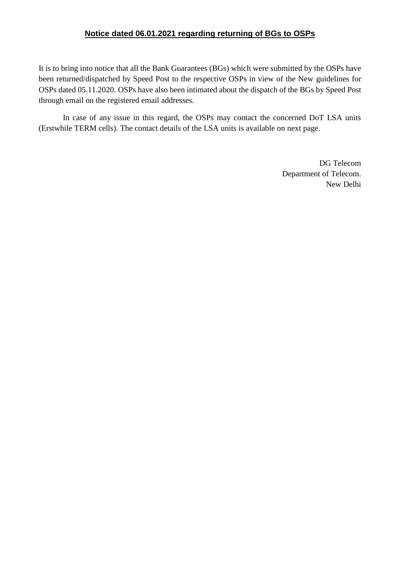## **Notice dated 06.01.2021 regarding returning of BGs to OSPs**

It is to bring into notice that all the Bank Guarantees (BGs) which were submitted by the OSPs have been returned/dispatched by Speed Post to the respective OSPs in view of the New guidelines for OSPs dated 05.11.2020. OSPs have also been intimated about the dispatch of the BGs by Speed Post through email on the registered email addresses.

In case of any issue in this regard, the OSPs may contact the concerned DoT LSA units (Erstwhile TERM cells). The contact details of the LSA units is available on next page.

> DG Telecom Department of Telecom. New Delhi